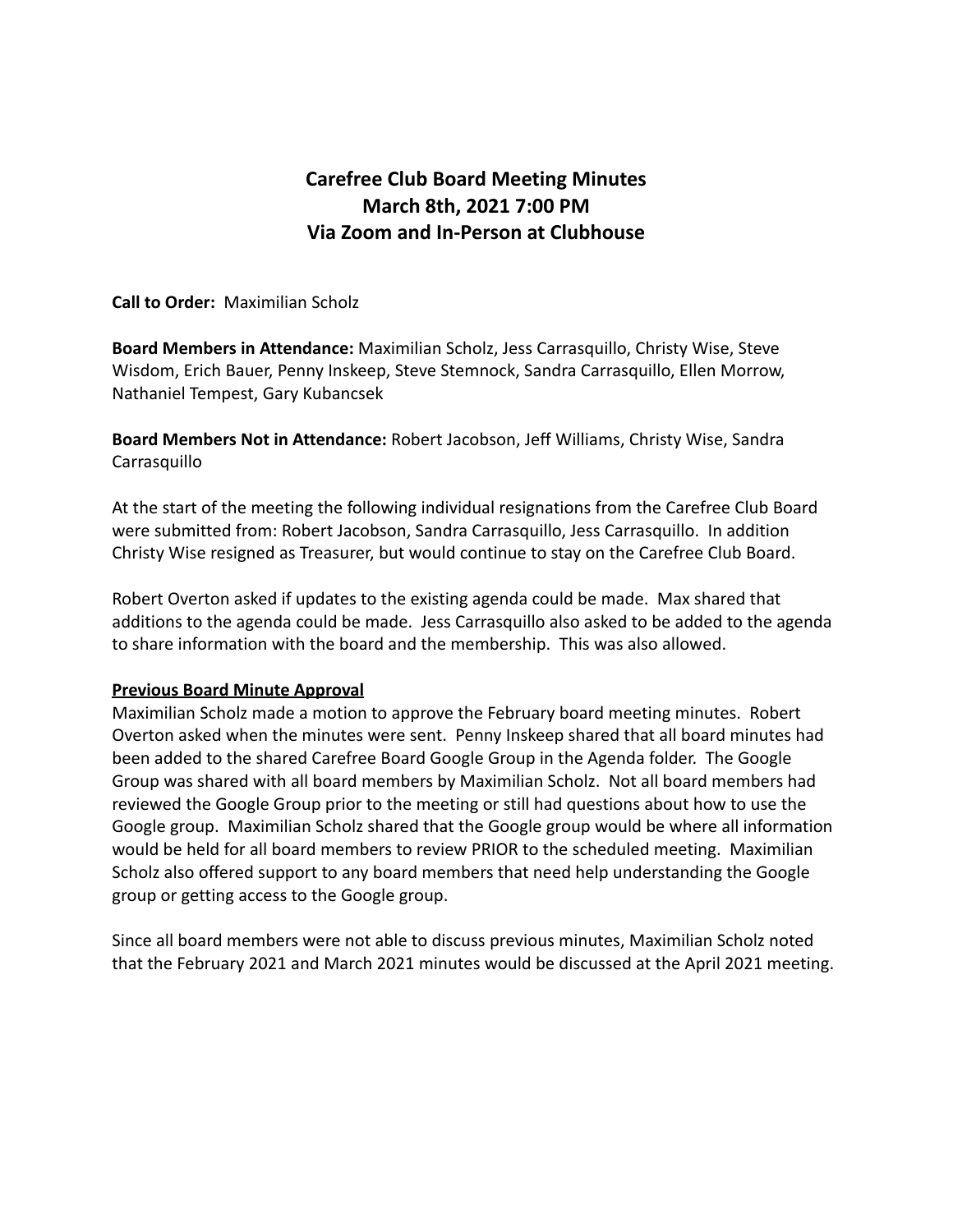# **Carefree Club Board Meeting Minutes March 8th, 2021 7:00 PM Via Zoom and In-Person at Clubhouse**

**Call to Order:** Maximilian Scholz

**Board Members in Attendance:** Maximilian Scholz, Jess Carrasquillo, Christy Wise, Steve Wisdom, Erich Bauer, Penny Inskeep, Steve Stemnock, Sandra Carrasquillo, Ellen Morrow, Nathaniel Tempest, Gary Kubancsek

**Board Members Not in Attendance:** Robert Jacobson, Jeff Williams, Christy Wise, Sandra Carrasquillo

At the start of the meeting the following individual resignations from the Carefree Club Board were submitted from: Robert Jacobson, Sandra Carrasquillo, Jess Carrasquillo. In addition Christy Wise resigned as Treasurer, but would continue to stay on the Carefree Club Board.

Robert Overton asked if updates to the existing agenda could be made. Max shared that additions to the agenda could be made. Jess Carrasquillo also asked to be added to the agenda to share information with the board and the membership. This was also allowed.

#### **Previous Board Minute Approval**

Maximilian Scholz made a motion to approve the February board meeting minutes. Robert Overton asked when the minutes were sent. Penny Inskeep shared that all board minutes had been added to the shared Carefree Board Google Group in the Agenda folder. The Google Group was shared with all board members by Maximilian Scholz. Not all board members had reviewed the Google Group prior to the meeting or still had questions about how to use the Google group. Maximilian Scholz shared that the Google group would be where all information would be held for all board members to review PRIOR to the scheduled meeting. Maximilian Scholz also offered support to any board members that need help understanding the Google group or getting access to the Google group.

Since all board members were not able to discuss previous minutes, Maximilian Scholz noted that the February 2021 and March 2021 minutes would be discussed at the April 2021 meeting.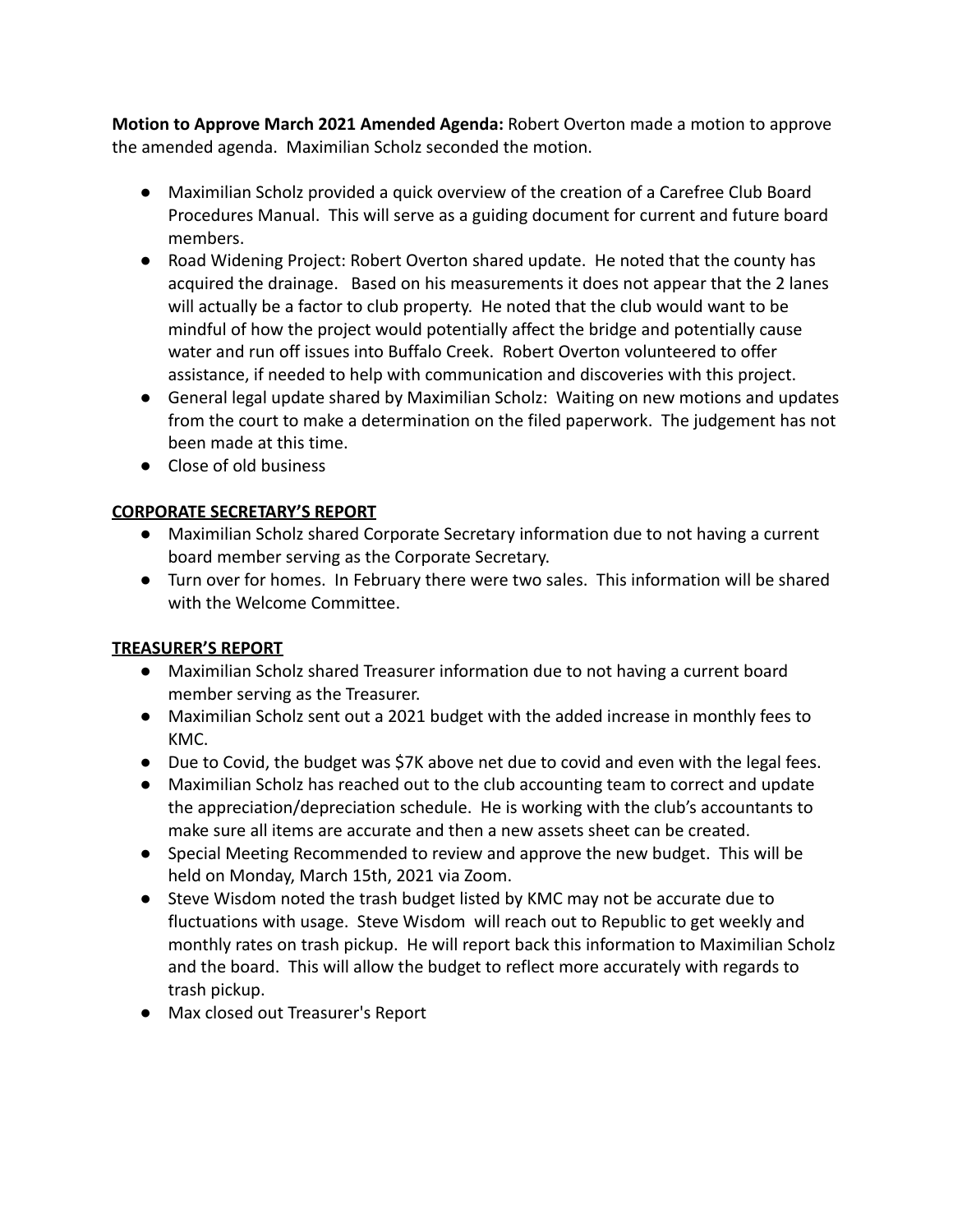**Motion to Approve March 2021 Amended Agenda:** Robert Overton made a motion to approve the amended agenda. Maximilian Scholz seconded the motion.

- Maximilian Scholz provided a quick overview of the creation of a Carefree Club Board Procedures Manual. This will serve as a guiding document for current and future board members.
- Road Widening Project: Robert Overton shared update. He noted that the county has acquired the drainage. Based on his measurements it does not appear that the 2 lanes will actually be a factor to club property. He noted that the club would want to be mindful of how the project would potentially affect the bridge and potentially cause water and run off issues into Buffalo Creek. Robert Overton volunteered to offer assistance, if needed to help with communication and discoveries with this project.
- General legal update shared by Maximilian Scholz: Waiting on new motions and updates from the court to make a determination on the filed paperwork. The judgement has not been made at this time.
- Close of old business

## **CORPORATE SECRETARY'S REPORT**

- Maximilian Scholz shared Corporate Secretary information due to not having a current board member serving as the Corporate Secretary.
- Turn over for homes. In February there were two sales. This information will be shared with the Welcome Committee.

# **TREASURER'S REPORT**

- Maximilian Scholz shared Treasurer information due to not having a current board member serving as the Treasurer.
- Maximilian Scholz sent out a 2021 budget with the added increase in monthly fees to KMC.
- Due to Covid, the budget was \$7K above net due to covid and even with the legal fees.
- Maximilian Scholz has reached out to the club accounting team to correct and update the appreciation/depreciation schedule. He is working with the club's accountants to make sure all items are accurate and then a new assets sheet can be created.
- Special Meeting Recommended to review and approve the new budget. This will be held on Monday, March 15th, 2021 via Zoom.
- Steve Wisdom noted the trash budget listed by KMC may not be accurate due to fluctuations with usage. Steve Wisdom will reach out to Republic to get weekly and monthly rates on trash pickup. He will report back this information to Maximilian Scholz and the board. This will allow the budget to reflect more accurately with regards to trash pickup.
- Max closed out Treasurer's Report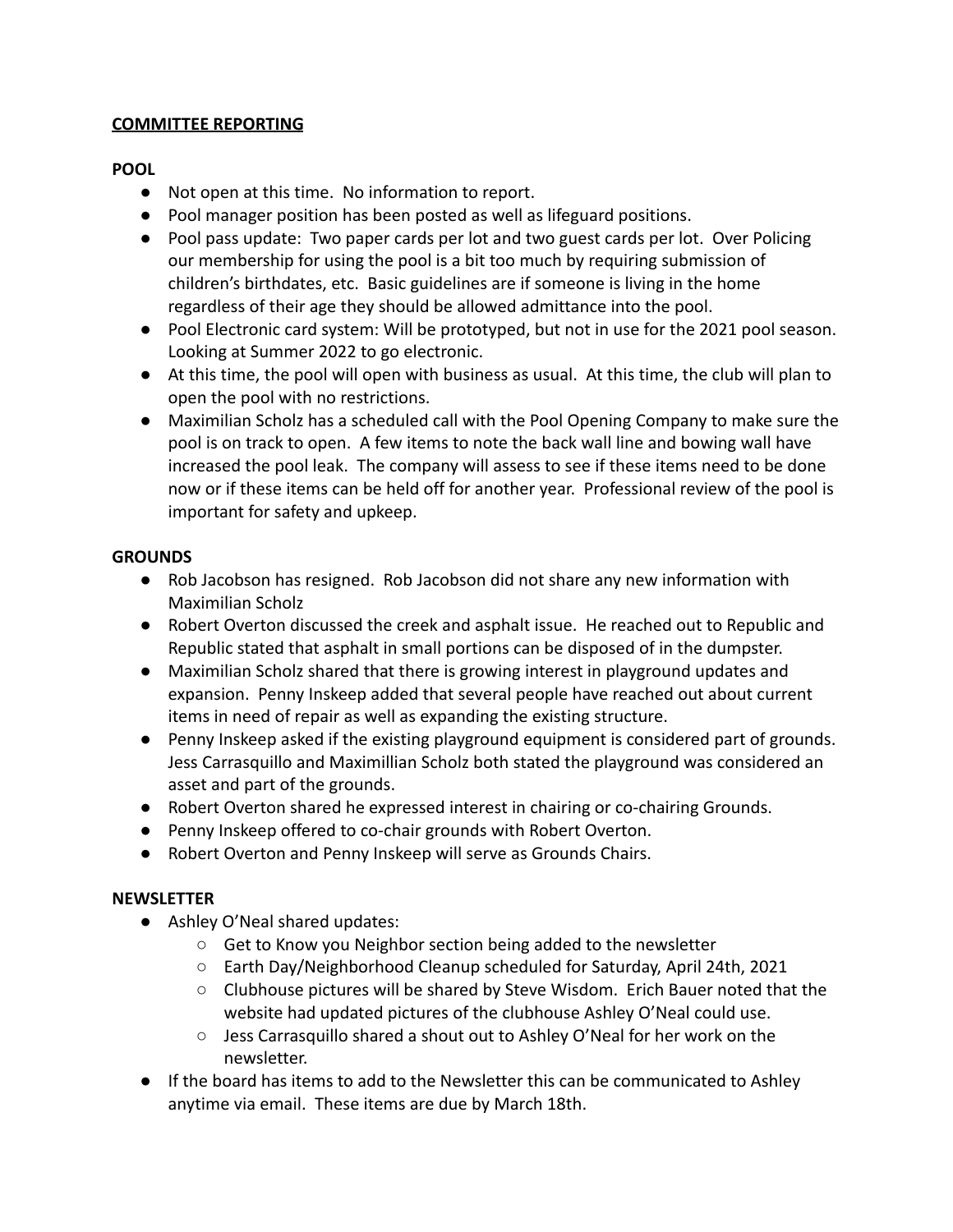#### **COMMITTEE REPORTING**

## **POOL**

- Not open at this time. No information to report.
- Pool manager position has been posted as well as lifeguard positions.
- Pool pass update: Two paper cards per lot and two guest cards per lot. Over Policing our membership for using the pool is a bit too much by requiring submission of children's birthdates, etc. Basic guidelines are if someone is living in the home regardless of their age they should be allowed admittance into the pool.
- Pool Electronic card system: Will be prototyped, but not in use for the 2021 pool season. Looking at Summer 2022 to go electronic.
- At this time, the pool will open with business as usual. At this time, the club will plan to open the pool with no restrictions.
- Maximilian Scholz has a scheduled call with the Pool Opening Company to make sure the pool is on track to open. A few items to note the back wall line and bowing wall have increased the pool leak. The company will assess to see if these items need to be done now or if these items can be held off for another year. Professional review of the pool is important for safety and upkeep.

## **GROUNDS**

- Rob Jacobson has resigned. Rob Jacobson did not share any new information with Maximilian Scholz
- Robert Overton discussed the creek and asphalt issue. He reached out to Republic and Republic stated that asphalt in small portions can be disposed of in the dumpster.
- Maximilian Scholz shared that there is growing interest in playground updates and expansion. Penny Inskeep added that several people have reached out about current items in need of repair as well as expanding the existing structure.
- Penny Inskeep asked if the existing playground equipment is considered part of grounds. Jess Carrasquillo and Maximillian Scholz both stated the playground was considered an asset and part of the grounds.
- Robert Overton shared he expressed interest in chairing or co-chairing Grounds.
- Penny Inskeep offered to co-chair grounds with Robert Overton.
- Robert Overton and Penny Inskeep will serve as Grounds Chairs.

## **NEWSLETTER**

- Ashley O'Neal shared updates:
	- Get to Know you Neighbor section being added to the newsletter
	- Earth Day/Neighborhood Cleanup scheduled for Saturday, April 24th, 2021
	- Clubhouse pictures will be shared by Steve Wisdom. Erich Bauer noted that the website had updated pictures of the clubhouse Ashley O'Neal could use.
	- Jess Carrasquillo shared a shout out to Ashley O'Neal for her work on the newsletter.
- If the board has items to add to the Newsletter this can be communicated to Ashley anytime via email. These items are due by March 18th.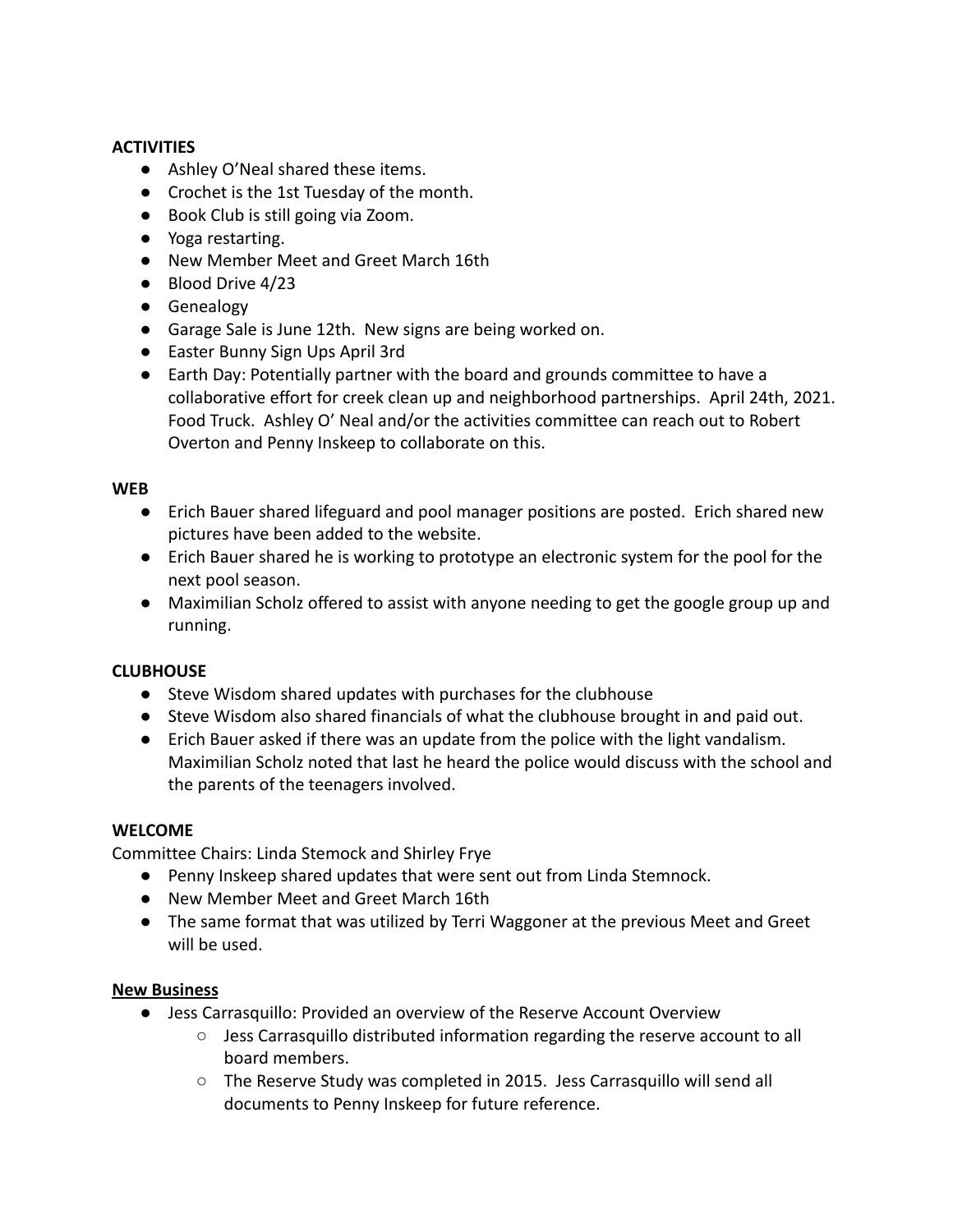## **ACTIVITIES**

- Ashley O'Neal shared these items.
- Crochet is the 1st Tuesday of the month.
- Book Club is still going via Zoom.
- Yoga restarting.
- New Member Meet and Greet March 16th
- Blood Drive 4/23
- Genealogy
- Garage Sale is June 12th. New signs are being worked on.
- Easter Bunny Sign Ups April 3rd
- Earth Day: Potentially partner with the board and grounds committee to have a collaborative effort for creek clean up and neighborhood partnerships. April 24th, 2021. Food Truck. Ashley O' Neal and/or the activities committee can reach out to Robert Overton and Penny Inskeep to collaborate on this.

#### **WEB**

- Erich Bauer shared lifeguard and pool manager positions are posted. Erich shared new pictures have been added to the website.
- Erich Bauer shared he is working to prototype an electronic system for the pool for the next pool season.
- Maximilian Scholz offered to assist with anyone needing to get the google group up and running.

## **CLUBHOUSE**

- Steve Wisdom shared updates with purchases for the clubhouse
- Steve Wisdom also shared financials of what the clubhouse brought in and paid out.
- Erich Bauer asked if there was an update from the police with the light vandalism. Maximilian Scholz noted that last he heard the police would discuss with the school and the parents of the teenagers involved.

## **WELCOME**

Committee Chairs: Linda Stemock and Shirley Frye

- Penny Inskeep shared updates that were sent out from Linda Stemnock.
- New Member Meet and Greet March 16th
- The same format that was utilized by Terri Waggoner at the previous Meet and Greet will be used.

#### **New Business**

- Jess Carrasquillo: Provided an overview of the Reserve Account Overview
	- Jess Carrasquillo distributed information regarding the reserve account to all board members.
	- The Reserve Study was completed in 2015. Jess Carrasquillo will send all documents to Penny Inskeep for future reference.